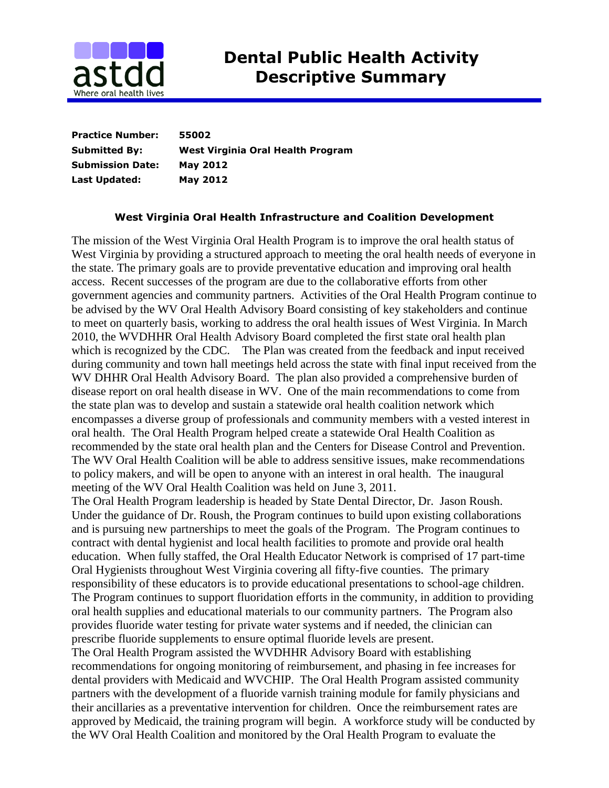

**Practice Number: 55002 Submitted By: West Virginia Oral Health Program Submission Date: May 2012 Last Updated: May 2012**

## **West Virginia Oral Health Infrastructure and Coalition Development**

The mission of the West Virginia Oral Health Program is to improve the oral health status of West Virginia by providing a structured approach to meeting the oral health needs of everyone in the state. The primary goals are to provide preventative education and improving oral health access. Recent successes of the program are due to the collaborative efforts from other government agencies and community partners. Activities of the Oral Health Program continue to be advised by the WV Oral Health Advisory Board consisting of key stakeholders and continue to meet on quarterly basis, working to address the oral health issues of West Virginia. In March 2010, the WVDHHR Oral Health Advisory Board completed the first state oral health plan which is recognized by the CDC. The Plan was created from the feedback and input received during community and town hall meetings held across the state with final input received from the WV DHHR Oral Health Advisory Board. The plan also provided a comprehensive burden of disease report on oral health disease in WV. One of the main recommendations to come from the state plan was to develop and sustain a statewide oral health coalition network which encompasses a diverse group of professionals and community members with a vested interest in oral health. The Oral Health Program helped create a statewide Oral Health Coalition as recommended by the state oral health plan and the Centers for Disease Control and Prevention. The WV Oral Health Coalition will be able to address sensitive issues, make recommendations to policy makers, and will be open to anyone with an interest in oral health. The inaugural meeting of the WV Oral Health Coalition was held on June 3, 2011.

The Oral Health Program leadership is headed by State Dental Director, Dr. Jason Roush. Under the guidance of Dr. Roush, the Program continues to build upon existing collaborations and is pursuing new partnerships to meet the goals of the Program. The Program continues to contract with dental hygienist and local health facilities to promote and provide oral health education. When fully staffed, the Oral Health Educator Network is comprised of 17 part-time Oral Hygienists throughout West Virginia covering all fifty-five counties. The primary responsibility of these educators is to provide educational presentations to school-age children. The Program continues to support fluoridation efforts in the community, in addition to providing oral health supplies and educational materials to our community partners. The Program also provides fluoride water testing for private water systems and if needed, the clinician can prescribe fluoride supplements to ensure optimal fluoride levels are present.

The Oral Health Program assisted the WVDHHR Advisory Board with establishing recommendations for ongoing monitoring of reimbursement, and phasing in fee increases for dental providers with Medicaid and WVCHIP. The Oral Health Program assisted community partners with the development of a fluoride varnish training module for family physicians and their ancillaries as a preventative intervention for children. Once the reimbursement rates are approved by Medicaid, the training program will begin. A workforce study will be conducted by the WV Oral Health Coalition and monitored by the Oral Health Program to evaluate the